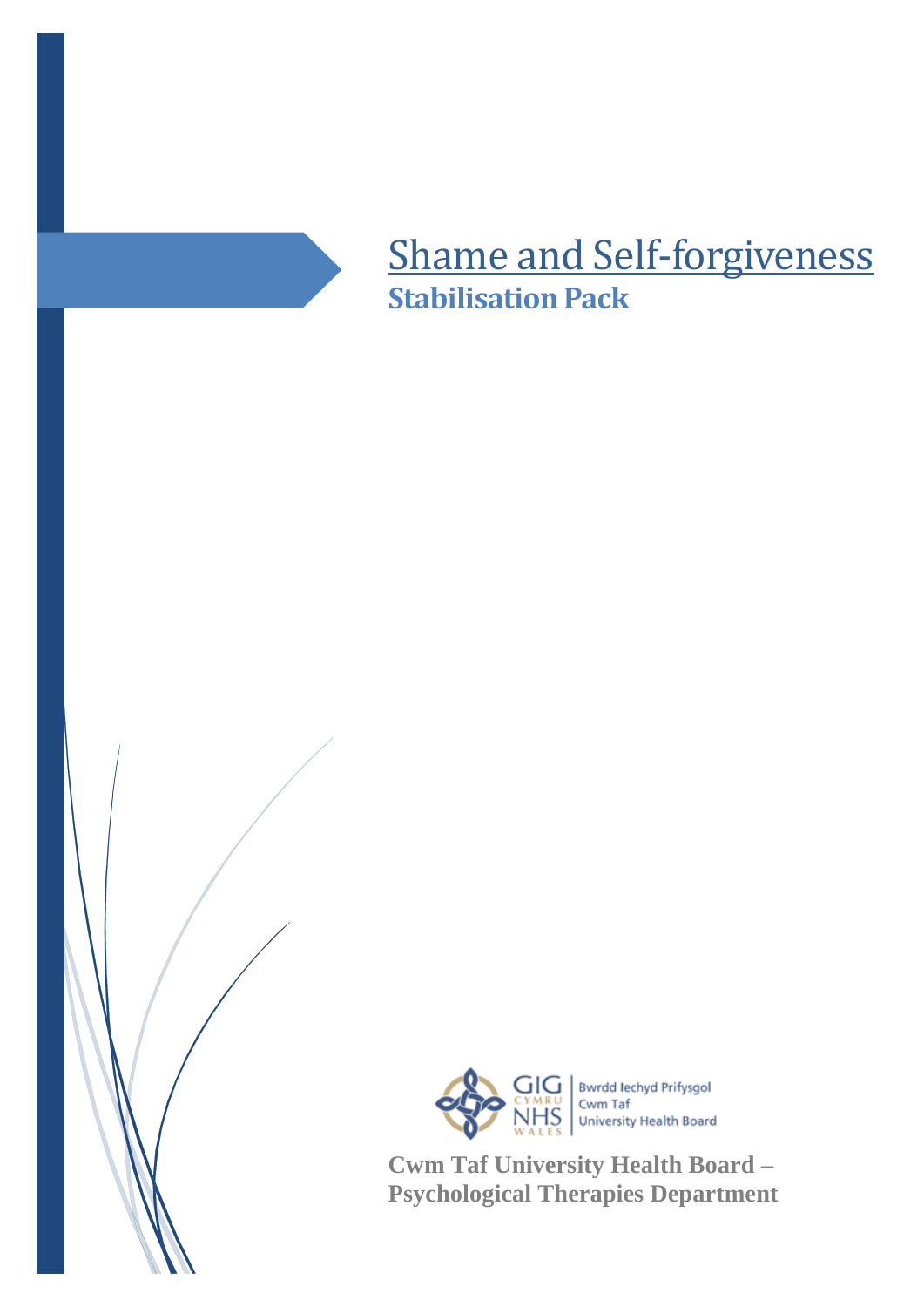

## Shame and Self-forgiveness **Stabilisation Pack**



**Cwm Taf University Health Board – Psychological Therapies Department**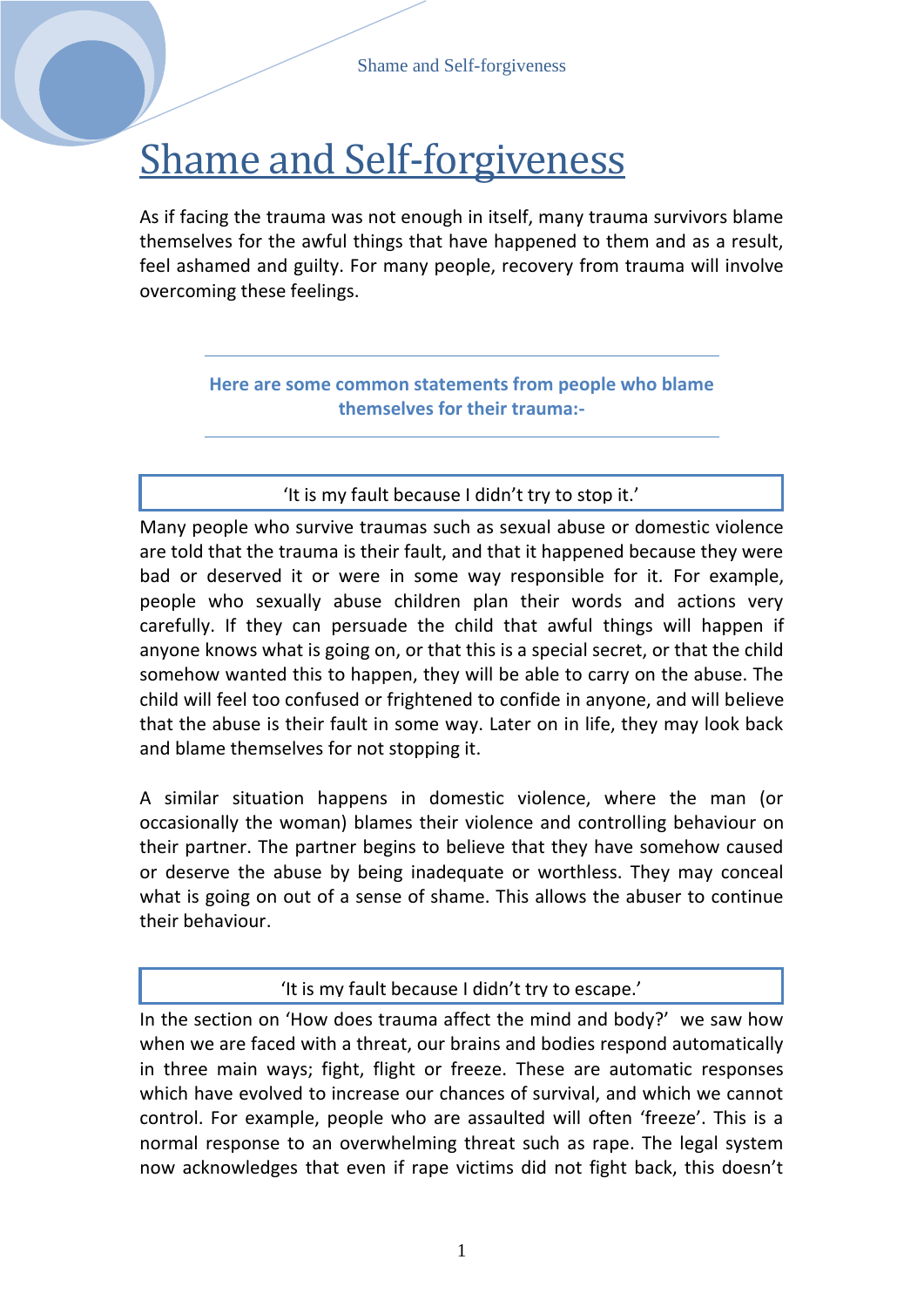# Shame and Self-forgiveness

As if facing the trauma was not enough in itself, many trauma survivors blame themselves for the awful things that have happened to them and as a result, feel ashamed and guilty. For many people, recovery from trauma will involve overcoming these feelings.

> **Here are some common statements from people who blame themselves for their trauma:-**

#### 'It is my fault because I didn't try to stop it.'

Many people who survive traumas such as sexual abuse or domestic violence are told that the trauma is their fault, and that it happened because they were bad or deserved it or were in some way responsible for it*.* For example, people who sexually abuse children plan their words and actions very carefully. If they can persuade the child that awful things will happen if anyone knows what is going on, or that this is a special secret, or that the child somehow wanted this to happen, they will be able to carry on the abuse. The child will feel too confused or frightened to confide in anyone, and will believe that the abuse is their fault in some way. Later on in life, they may look back and blame themselves for not stopping it.

A similar situation happens in domestic violence, where the man (or occasionally the woman) blames their violence and controlling behaviour on their partner. The partner begins to believe that they have somehow caused or deserve the abuse by being inadequate or worthless. They may conceal what is going on out of a sense of shame. This allows the abuser to continue their behaviour.

#### 'It is my fault because I didn't try to escape.'

In the section on 'How does trauma affect the mind and body?' we saw how when we are faced with a threat, our brains and bodies respond automatically in three main ways; fight, flight or freeze. These are automatic responses which have evolved to increase our chances of survival, and which we cannot control. For example, people who are assaulted will often 'freeze'. This is a normal response to an overwhelming threat such as rape. The legal system now acknowledges that even if rape victims did not fight back, this doesn't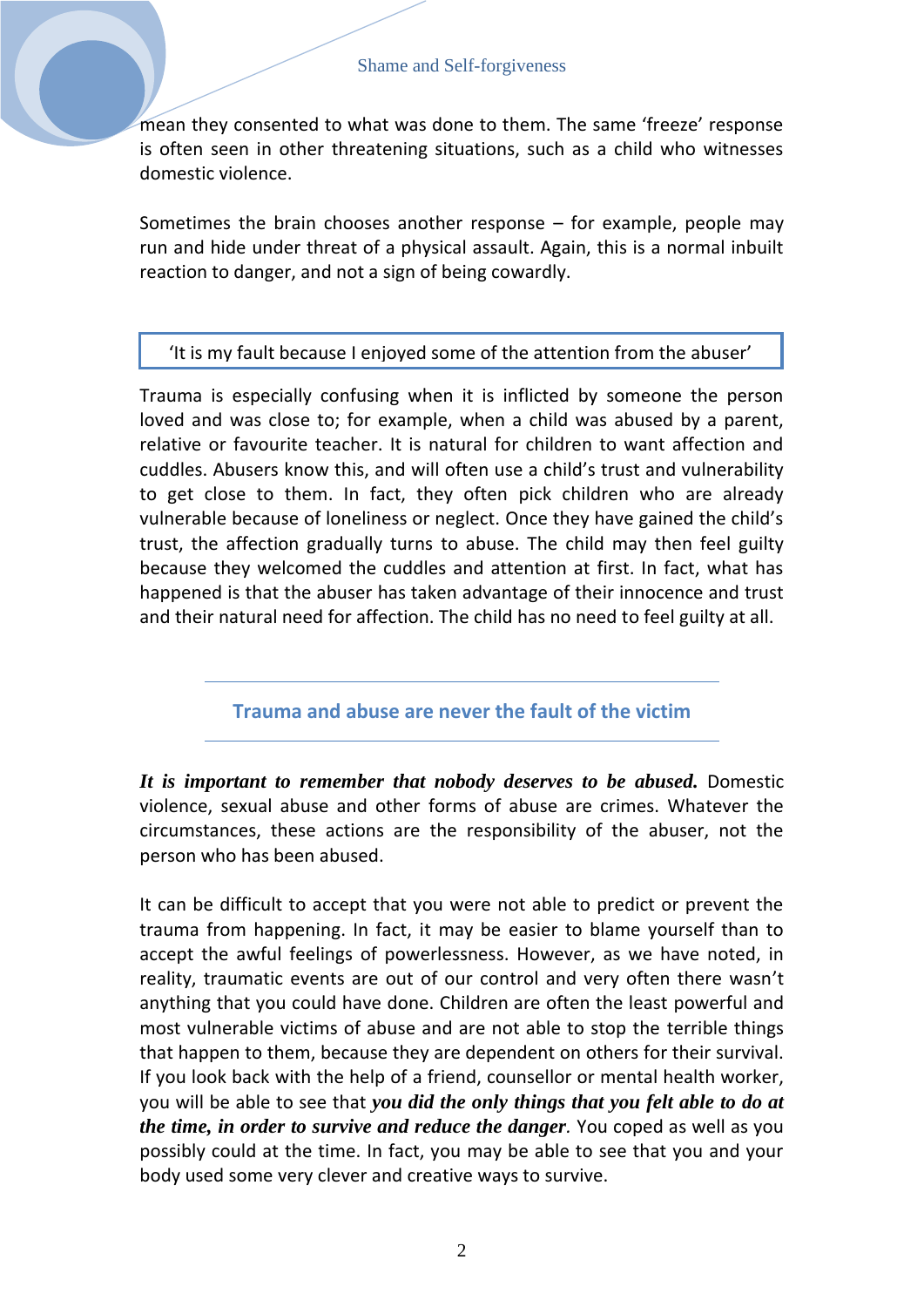mean they consented to what was done to them. The same 'freeze' response is often seen in other threatening situations, such as a child who witnesses domestic violence.

Sometimes the brain chooses another response  $-$  for example, people may run and hide under threat of a physical assault. Again, this is a normal inbuilt reaction to danger, and not a sign of being cowardly.

#### *'It is my fault because I enjoyed some of the attention f* 'It is my fault because I enjoyed some of the attention from the abuser' *rom the abuser'*

Trauma is especially confusing when it is inflicted by someone the person loved and was close to; for example, when a child was abused by a parent, relative or favourite teacher. It is natural for children to want affection and cuddles. Abusers know this, and will often use a child's trust and vulnerability to get close to them. In fact, they often pick children who are already vulnerable because of loneliness or neglect. Once they have gained the child's trust, the affection gradually turns to abuse. The child may then feel guilty because they welcomed the cuddles and attention at first. In fact, what has happened is that the abuser has taken advantage of their innocence and trust and their natural need for affection. The child has no need to feel guilty at all.

**Trauma and abuse are never the fault of the victim**

*It is important to remember that nobody deserves to be abused.* Domestic violence, sexual abuse and other forms of abuse are crimes. Whatever the circumstances, these actions are the responsibility of the abuser, not the person who has been abused.

It can be difficult to accept that you were not able to predict or prevent the trauma from happening. In fact, it may be easier to blame yourself than to accept the awful feelings of powerlessness. However, as we have noted, in reality, traumatic events are out of our control and very often there wasn't anything that you could have done. Children are often the least powerful and most vulnerable victims of abuse and are not able to stop the terrible things that happen to them, because they are dependent on others for their survival. If you look back with the help of a friend, counsellor or mental health worker, you will be able to see that *you did the only things that you felt able to do at the time, in order to survive and reduce the danger.* You coped as well as you possibly could at the time. In fact, you may be able to see that you and your body used some very clever and creative ways to survive.